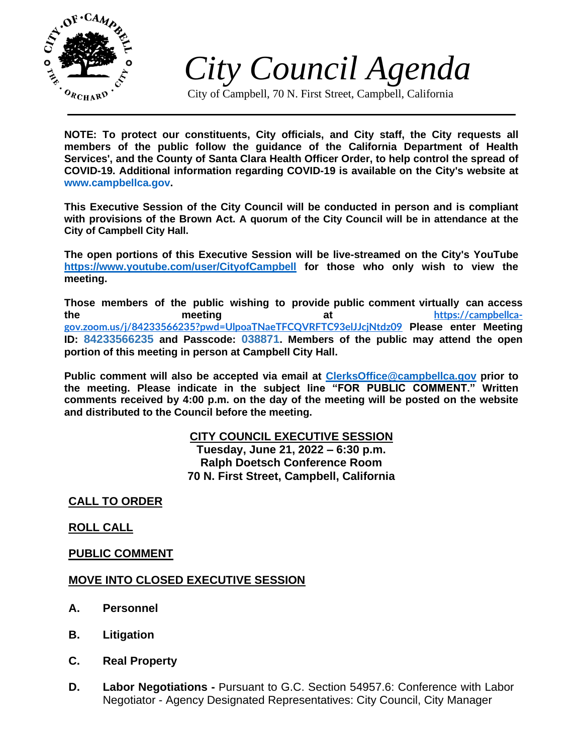

*City Council Agenda*

City of Campbell, 70 N. First Street, Campbell, California

**NOTE: To protect our constituents, City officials, and City staff, the City requests all members of the public follow the guidance of the California Department of Health Services', and the County of Santa Clara Health Officer Order, to help control the spread of COVID-19. Additional information regarding COVID-19 is available on the City's website at [www.campbellca.gov.](http://www.campbellca.gov/)**

**This Executive Session of the City Council will be conducted in person and is compliant with provisions of the Brown Act. A quorum of the City Council will be in attendance at the City of Campbell City Hall.**

**The open portions of this Executive Session will be live-streamed on the City's YouTube <https://www.youtube.com/user/CityofCampbell> for those who only wish to view the meeting.**

**Those members of the public wishing to provide public comment virtually can access the meeting at [https://campbellca](https://campbellca-gov.zoom.us/j/84233566235?pwd=UlpoaTNaeTFCQVRFTC93elJJcjNtdz09)[gov.zoom.us/j/84233566235?pwd=UlpoaTNaeTFCQVRFTC93elJJcjNtdz09](https://campbellca-gov.zoom.us/j/84233566235?pwd=UlpoaTNaeTFCQVRFTC93elJJcjNtdz09) Please enter Meeting ID: 84233566235 and Passcode: 038871. Members of the public may attend the open portion of this meeting in person at Campbell City Hall.**

**Public comment will also be accepted via email at [ClerksOffice@campbellca.gov](../6-20-22%20Executive%20Session/ClerksOffice@campbellca.gov) prior to the meeting. Please indicate in the subject line "FOR PUBLIC COMMENT." Written comments received by 4:00 p.m. on the day of the meeting will be posted on the website and distributed to the Council before the meeting.**

# **CITY COUNCIL EXECUTIVE SESSION**

**Tuesday, June 21, 2022 – 6:30 p.m. Ralph Doetsch Conference Room 70 N. First Street, Campbell, California**

**CALL TO ORDER**

## **ROLL CALL**

## **PUBLIC COMMENT**

## **MOVE INTO CLOSED EXECUTIVE SESSION**

- **A. Personnel**
- **B. Litigation**
- **C. Real Property**
- **D. Labor Negotiations -** Pursuant to G.C. Section 54957.6: Conference with Labor Negotiator - Agency Designated Representatives: City Council, City Manager